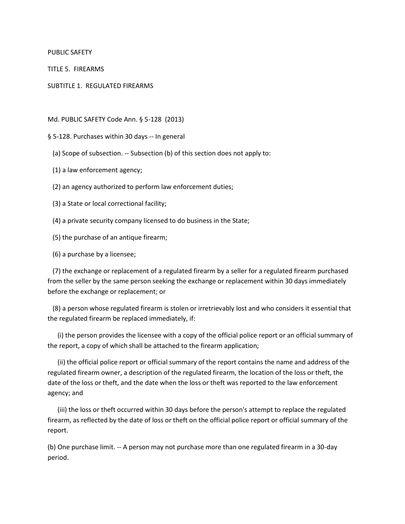PUBLIC SAFETY

TITLE 5. FIREARMS

SUBTITLE 1. REGULATED FIREARMS

Md. PUBLIC SAFETY Code Ann. § 5-128 (2013)

§ 5-128. Purchases within 30 days -- In general

(a) Scope of subsection. -- Subsection (b) of this section does not apply to:

(1) a law enforcement agency;

(2) an agency authorized to perform law enforcement duties;

(3) a State or local correctional facility;

(4) a private security company licensed to do business in the State;

(5) the purchase of an antique firearm;

(6) a purchase by a licensee;

 (7) the exchange or replacement of a regulated firearm by a seller for a regulated firearm purchased from the seller by the same person seeking the exchange or replacement within 30 days immediately before the exchange or replacement; or

 (8) a person whose regulated firearm is stolen or irretrievably lost and who considers it essential that the regulated firearm be replaced immediately, if:

 (i) the person provides the licensee with a copy of the official police report or an official summary of the report, a copy of which shall be attached to the firearm application;

 (ii) the official police report or official summary of the report contains the name and address of the regulated firearm owner, a description of the regulated firearm, the location of the loss or theft, the date of the loss or theft, and the date when the loss or theft was reported to the law enforcement agency; and

 (iii) the loss or theft occurred within 30 days before the person's attempt to replace the regulated firearm, as reflected by the date of loss or theft on the official police report or official summary of the report.

(b) One purchase limit. -- A person may not purchase more than one regulated firearm in a 30-day period.